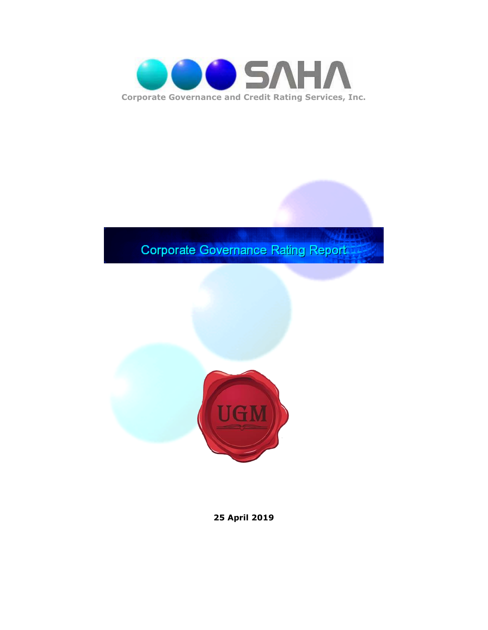

## **Corporate Governance Rating Report**



**25 April 2019**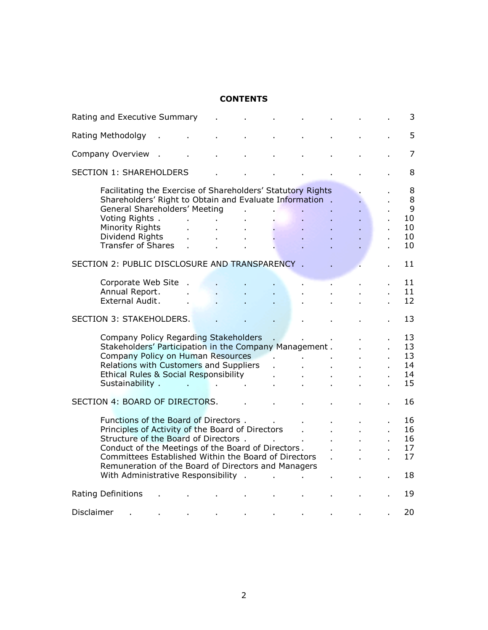#### **CONTENTS**

| Rating and Executive Summary                                                                                                                                                                                                                                                                                                                  |                              |    |    |  |    | 3                                   |
|-----------------------------------------------------------------------------------------------------------------------------------------------------------------------------------------------------------------------------------------------------------------------------------------------------------------------------------------------|------------------------------|----|----|--|----|-------------------------------------|
| Rating Methodolgy                                                                                                                                                                                                                                                                                                                             |                              |    |    |  |    | 5                                   |
| Company Overview                                                                                                                                                                                                                                                                                                                              |                              |    |    |  |    | $\overline{7}$                      |
| <b>SECTION 1: SHAREHOLDERS</b>                                                                                                                                                                                                                                                                                                                |                              |    |    |  |    | 8                                   |
| Facilitating the Exercise of Shareholders' Statutory Rights<br>Shareholders' Right to Obtain and Evaluate Information.<br>General Shareholders' Meeting<br>Voting Rights.<br>$\mathbf{r}$<br>Minority Rights<br>Dividend Rights<br>$\mathbf{r}$<br><b>Transfer of Shares</b><br>$\mathbf{r}$                                                  | $\mathbf{r}$<br>$\mathbf{r}$ | l. | ÷. |  |    | 8<br>8<br>9<br>10<br>10<br>10<br>10 |
| SECTION 2: PUBLIC DISCLOSURE AND TRANSPARENCY.                                                                                                                                                                                                                                                                                                |                              |    |    |  | ä, | 11                                  |
| Corporate Web Site.<br>Annual Report.<br>External Audit.                                                                                                                                                                                                                                                                                      |                              |    |    |  |    | 11<br>11<br>12                      |
| SECTION 3: STAKEHOLDERS.                                                                                                                                                                                                                                                                                                                      |                              |    |    |  |    | 13                                  |
| Company Policy Regarding Stakeholders<br>Stakeholders' Participation in the Company Management.<br>Company Policy on Human Resources<br>Relations with Customers and Suppliers<br>Ethical Rules & Social Responsibility<br>Sustainability .<br>the control of the control of the                                                              |                              |    |    |  | ä, | 13<br>13<br>13<br>14<br>14<br>15    |
| SECTION 4: BOARD OF DIRECTORS.                                                                                                                                                                                                                                                                                                                |                              |    |    |  |    | 16                                  |
| Functions of the Board of Directors.<br>Principles of Activity of the Board of Directors<br>Structure of the Board of Directors.<br>Conduct of the Meetings of the Board of Directors.<br>Committees Established Within the Board of Directors<br>Remuneration of the Board of Directors and Managers<br>With Administrative Responsibility . |                              |    |    |  |    | 16<br>16<br>16<br>17<br>17<br>18    |
| Rating Definitions                                                                                                                                                                                                                                                                                                                            |                              |    |    |  |    | 19                                  |
| Disclaimer                                                                                                                                                                                                                                                                                                                                    |                              |    |    |  |    | 20                                  |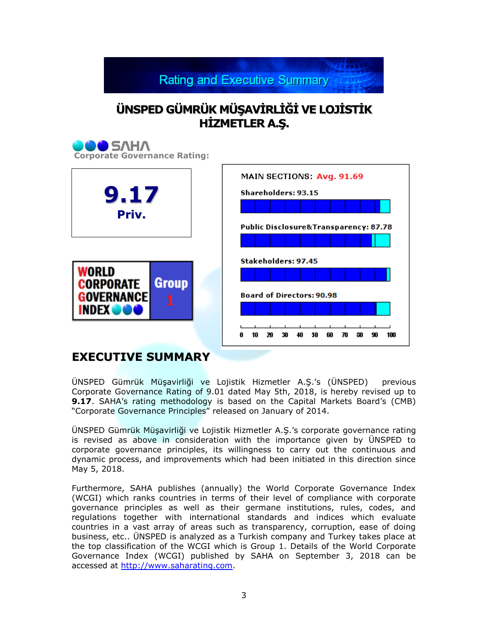**Rating and Executive Summary** 

## $\ddot{\mathbf{U}}$ **NSPED** GÜMRÜK MÜŞAVİRLİĞİ VE LOJİSTİK **HİZMETLER** A.S.



### **EXECUTIVE SUMMARY**

ÜNSPED Gümrük Müşavirliği ve Lojistik Hizmetler A.Ş."s (ÜNSPED) previous Corporate Governance Rating of 9.01 dated May 5th, 2018, is hereby revised up to **9.17**. SAHA's rating methodology is based on the Capital Markets Board's (CMB) "Corporate Governance Principles" released on January of 2014.

ÜNSPED Gümrük Müşavirliği ve Lojistik Hizmetler A.Ş."s corporate governance rating is revised as above in consideration with the importance given by ÜNSPED to corporate governance principles, its willingness to carry out the continuous and dynamic process, and improvements which had been initiated in this direction since May 5, 2018.

Furthermore, SAHA publishes (annually) the World Corporate Governance Index (WCGI) which ranks countries in terms of their level of compliance with corporate governance principles as well as their germane institutions, rules, codes, and regulations together with international standards and indices which evaluate countries in a vast array of areas such as transparency, corruption, ease of doing business, etc.. ÜNSPED is analyzed as a Turkish company and Turkey takes place at the top classification of the WCGI which is Group 1. Details of the World Corporate Governance Index (WCGI) published by SAHA on September 3, 2018 can be accessed at [http://www.saharating.com.](http://www.saharating.com/)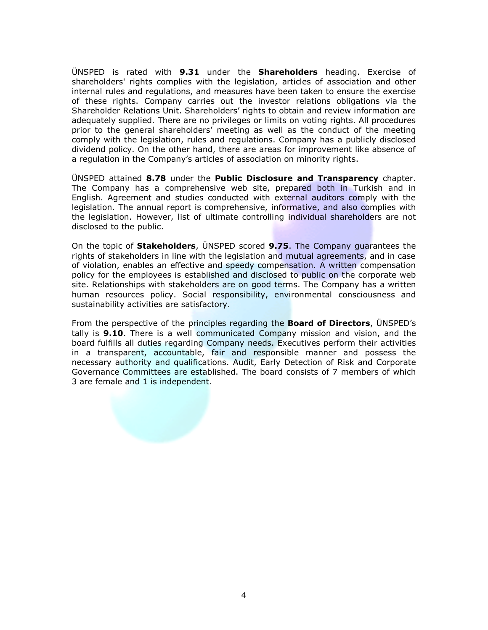ÜNSPED is rated with **9.31** under the **Shareholders** heading. Exercise of shareholders' rights complies with the legislation, articles of association and other internal rules and regulations, and measures have been taken to ensure the exercise of these rights. Company carries out the investor relations obligations via the Shareholder Relations Unit. Shareholders" rights to obtain and review information are adequately supplied. There are no privileges or limits on voting rights. All procedures prior to the general shareholders" meeting as well as the conduct of the meeting comply with the legislation, rules and regulations. Company has a publicly disclosed dividend policy. On the other hand, there are areas for improvement like absence of a regulation in the Company"s articles of association on minority rights.

ÜNSPED attained **8.78** under the **Public Disclosure and Transparency** chapter. The Company has a comprehensive web site, prepared both in Turkish and in English. Agreement and studies conducted with external auditors comply with the legislation. The annual report is comprehensive, informative, and also complies with the legislation. However, list of ultimate controlling individual shareholders are not disclosed to the public.

On the topic of **Stakeholders**, ÜNSPED scored **9.75**. The Company guarantees the rights of stakeholders in line with the legislation and mutual agreements, and in case of violation, enables an effective and speedy compensation. A written compensation policy for the employees is established and disclosed to public on the corporate web site. Relationships with stakeholders are on good terms. The Company has a written human resources policy. Social responsibility, environmental consciousness and sustainability activities are satisfactory.

From the perspective of the principles regarding the **Board of Directors**, ÜNSPED"s tally is **9.10**. There is a well communicated Company mission and vision, and the board fulfills all duties regarding Company needs. Executives perform their activities in a transparent, accountable, fair and responsible manner and possess the necessary authority and qualifications. Audit, Early Detection of Risk and Corporate Governance Committees are established. The board consists of 7 members of which 3 are female and 1 is independent.

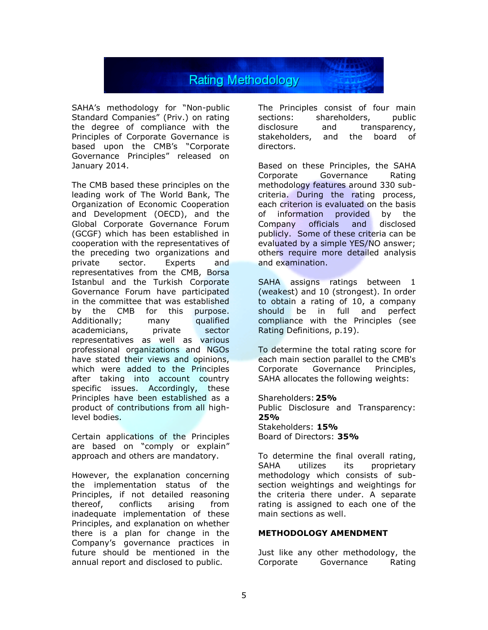

SAHA"s methodology for "Non-public Standard Companies" (Priv.) on rating the degree of compliance with the Principles of Corporate Governance is based upon the CMB"s "Corporate Governance Principles" released on January 2014.

The CMB based these principles on the leading work of The World Bank, The Organization of Economic Cooperation and Development (OECD), and the Global Corporate Governance Forum (GCGF) which has been established in cooperation with the representatives of the preceding two organizations and private sector. Experts and representatives from the CMB, Borsa Istanbul and the Turkish Corporate Governance Forum have participated in the committee that was established by the CMB for this purpose. Additionally; many qualified academicians, private sector representatives as well as various professional organizations and NGOs have stated their views and opinions, which were added to the Principles after taking into account country specific issues. Accordingly, these Principles have been established as a product of contributions from all highlevel bodies.

Certain applications of the Principles are based on "comply or explain" approach and others are mandatory.

However, the explanation concerning the implementation status of the Principles, if not detailed reasoning thereof, conflicts arising from inadequate implementation of these Principles, and explanation on whether there is a plan for change in the Company"s governance practices in future should be mentioned in the annual report and disclosed to public.

The Principles consist of four main sections: shareholders, public disclosure and transparency, stakeholders, and the board of directors.

Based on these Principles, the SAHA Corporate Governance Rating methodology features around 330 subcriteria. During the rating process, each criterion is evaluated on the basis of information provided by the Company officials and disclosed publicly. Some of these criteria can be evaluated by a simple YES/NO answer; others require more detailed analysis and examination.

SAHA assigns ratings between 1 (weakest) and 10 (strongest). In order to obtain a rating of 10, a company should be in full and perfect compliance with the Principles (see Rating Definitions, p.19).

To determine the total rating score for each main section parallel to the CMB's Corporate Governance Principles, SAHA allocates the following weights:

Shareholders:**25%** Public Disclosure and Transparency: **25%** Stakeholders: **15%** Board of Directors: **35%**

To determine the final overall rating, SAHA utilizes its proprietary methodology which consists of subsection weightings and weightings for the criteria there under. A separate rating is assigned to each one of the main sections as well.

#### **METHODOLOGY AMENDMENT**

Just like any other methodology, the Corporate Governance Rating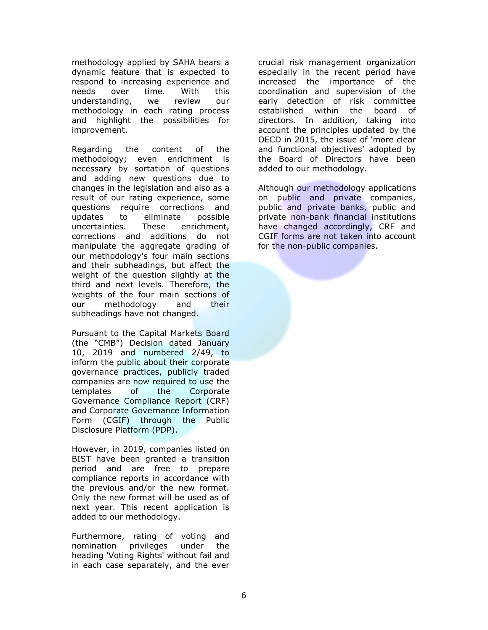methodology applied by SAHA bears a dynamic feature that is expected to respond to increasing experience and needs over time. With this understanding, we review our methodology in each rating process and highlight the possibilities for improvement.

Regarding the content of the methodology; even enrichment is necessary by sortation of questions and adding new questions due to changes in the legislation and also as a result of our rating experience, some questions require corrections and updates to eliminate possible uncertainties. These enrichment, corrections and additions do not manipulate the aggregate grading of our methodology's four main sections and their subheadings, but affect the weight of the question slightly at the third and next levels. Therefore, the weights of the four main sections of our methodology and their subheadings have not changed.

Pursuant to the Capital Markets Board (the "CMB") Decision dated January 10, 2019 and numbered 2/49, to inform the public about their corporate governance practices, publicly traded companies are now required to use the templates of the Corporate Governance Compliance Report (CRF) and Corporate Governance Information Form (CGIF) through the Public Disclosure Platform (PDP).

However, in 2019, companies listed on BIST have been granted a transition period and are free to prepare compliance reports in accordance with the previous and/or the new format. Only the new format will be used as of next year. This recent application is added to our methodology.

Furthermore, rating of voting and nomination privileges under the heading 'Voting Rights' without fail and in each case separately, and the ever crucial risk management organization especially in the recent period have increased the importance of the coordination and supervision of the early detection of risk committee established within the board of directors. In addition, taking into account the principles updated by the OECD in 2015, the issue of 'more clear and functional objectives' adopted by the Board of Directors have been added to our methodology.

Although our methodology applications on public and private companies, public and private banks, public and private non-bank financial institutions have changed accordingly, CRF and CGIF forms are not taken into account for the non-public companies.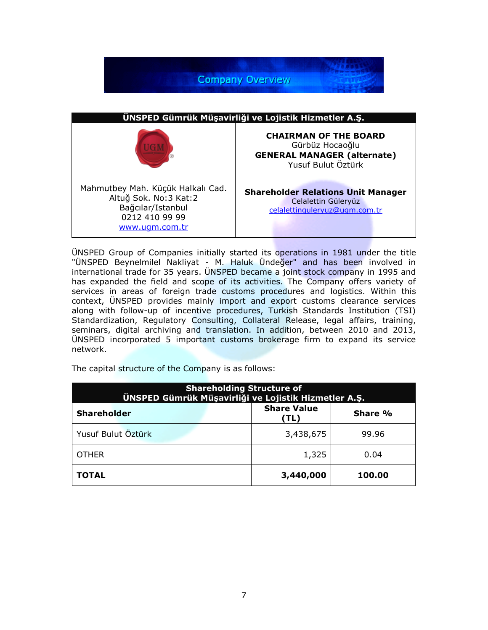

ÜNSPED Group of Companies initially started its operations in 1981 under the title "ÜNSPED Beynelmilel Nakliyat - M. Haluk Ündeğer" and has been involved in international trade for 35 years. ÜNSPED became a joint stock company in 1995 and has expanded the field and scope of its activities. The Company offers variety of services in areas of foreign trade customs procedures and logistics. Within this context, ÜNSPED provides mainly import and export customs clearance services along with follow-up of incentive procedures, Turkish Standards Institution (TSI) Standardization, Regulatory Consulting, Collateral Release, legal affairs, training, seminars, digital archiving and translation. In addition, between 2010 and 2013, ÜNSPED incorporated 5 important customs brokerage firm to expand its service network.

The capital structure of the Company is as follows:

| <b>Shareholding Structure of</b><br>ÜNSPED Gümrük Müşavirliği ve Lojistik Hizmetler A.Ş. |                            |         |  |
|------------------------------------------------------------------------------------------|----------------------------|---------|--|
| <b>Shareholder</b>                                                                       | <b>Share Value</b><br>(TL) | Share % |  |
| Yusuf Bulut Öztürk                                                                       | 3,438,675                  | 99.96   |  |
| <b>OTHER</b>                                                                             | 1,325                      | 0.04    |  |
| <b>TOTAL</b>                                                                             | 3,440,000                  | 100.00  |  |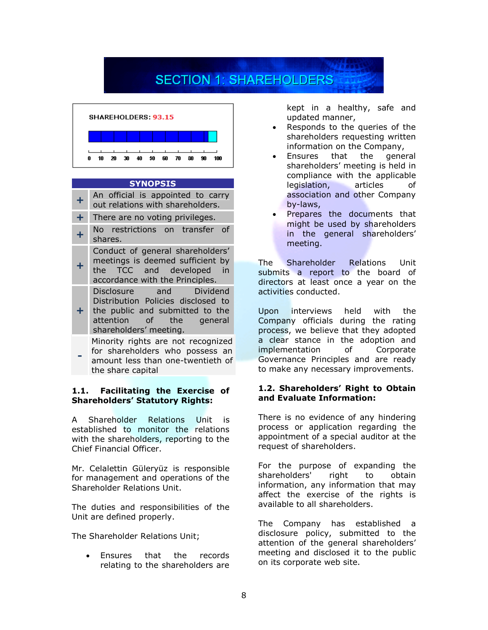# **SECTION 1: SHAREHOLDERS**



#### **SYNOPSIS**

| +         | An official is appointed to carry                                                                                                                      |
|-----------|--------------------------------------------------------------------------------------------------------------------------------------------------------|
|           | out relations with shareholders.                                                                                                                       |
| $\ddot{}$ | There are no voting privileges.                                                                                                                        |
| $\ddot{}$ | No restrictions on transfer of<br>shares.                                                                                                              |
| $\ddot{}$ | Conduct of general shareholders'<br>meetings is deemed sufficient by<br>TCC and developed in<br>the<br>accordance with the Principles.                 |
| $+$       | Disclosure and Dividend<br>Distribution Policies disclosed to<br>the public and submitted to the<br>attention of the general<br>shareholders' meeting. |
|           | Minority rights are not recognized                                                                                                                     |

Minority rights are not recognized for shareholders who possess an amount less than one-twentieth of the share capital

**-**

#### **1.1. Facilitating the Exercise of Shareholders' Statutory Rights:**

A Shareholder Relations Unit is established to monitor the relations with the shareholders, reporting to the Chief Financial Officer.

Mr. Celalettin Güleryüz is responsible for management and operations of the Shareholder Relations Unit.

The duties and responsibilities of the Unit are defined properly.

The Shareholder Relations Unit;

 Ensures that the records relating to the shareholders are

kept in a healthy, safe and updated manner,

- Responds to the queries of the shareholders requesting written information on the Company,
- Ensures that the general shareholders" meeting is held in compliance with the applicable legislation, articles of association and other Company by-laws,
- Prepares the documents that might be used by shareholders in the general shareholders' meeting.

The Shareholder Relations Unit submits a report to the board of directors at least once a year on the activities conducted.

Upon interviews held with the Company officials during the rating process, we believe that they adopted a clear stance in the adoption and implementation of Corporate Governance Principles and are ready to make any necessary improvements.

#### **1.2. Shareholders' Right to Obtain and Evaluate Information:**

There is no evidence of any hindering process or application regarding the appointment of a special auditor at the request of shareholders.

For the purpose of expanding the shareholders' right to obtain information, any information that may affect the exercise of the rights is available to all shareholders.

The Company has established a disclosure policy, submitted to the attention of the general shareholders' meeting and disclosed it to the public on its corporate web site.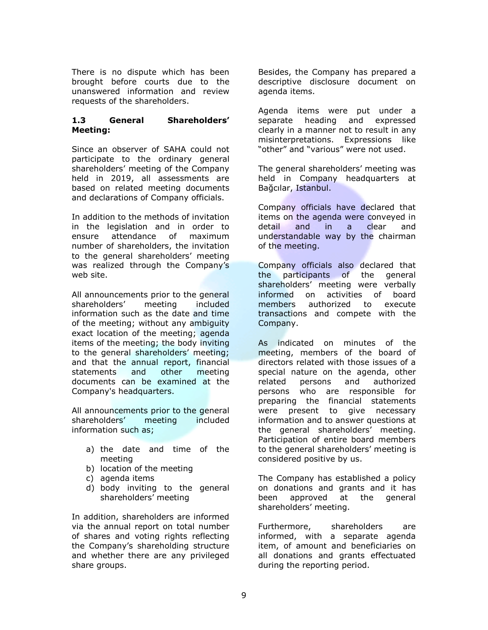There is no dispute which has been brought before courts due to the unanswered information and review requests of the shareholders.

#### **1.3 General Shareholders' Meeting:**

Since an observer of SAHA could not participate to the ordinary general shareholders' meeting of the Company held in 2019, all assessments are based on related meeting documents and declarations of Company officials.

In addition to the methods of invitation in the legislation and in order to ensure attendance of maximum number of shareholders, the invitation to the general shareholders' meeting was realized through the Company's web site.

All announcements prior to the general shareholders" meeting included information such as the date and time of the meeting; without any ambiguity exact location of the meeting; agenda items of the meeting; the body inviting to the general shareholders' meeting; and that the annual report, financial statements and other meeting documents can be examined at the Company's headquarters.

All announcements prior to the general shareholders" meeting included information such as;

- a) the date and time of the meeting
- b) location of the meeting
- c) agenda items
- d) body inviting to the general shareholders" meeting

In addition, shareholders are informed via the annual report on total number of shares and voting rights reflecting the Company"s shareholding structure and whether there are any privileged share groups.

Besides, the Company has prepared a descriptive disclosure document on agenda items.

Agenda items were put under a separate heading and expressed clearly in a manner not to result in any misinterpretations. Expressions like "other" and "various" were not used.

The general shareholders' meeting was held in Company headquarters at Bağcılar, Istanbul.

Company officials have declared that items on the agenda were conveyed in detail and in a clear and understandable way by the chairman of the meeting.

Company officials also declared that the participants of the general shareholders" meeting were verbally informed on activities of board members authorized to execute transactions and compete with the Company.

As indicated on minutes of the meeting, members of the board of directors related with those issues of a special nature on the agenda, other related persons and authorized persons who are responsible for preparing the financial statements were present to give necessary information and to answer questions at the general shareholders' meeting. Participation of entire board members to the general shareholders" meeting is considered positive by us.

The Company has established a policy on donations and grants and it has been approved at the general shareholders' meeting.

Furthermore, shareholders are informed, with a separate agenda item, of amount and beneficiaries on all donations and grants effectuated during the reporting period.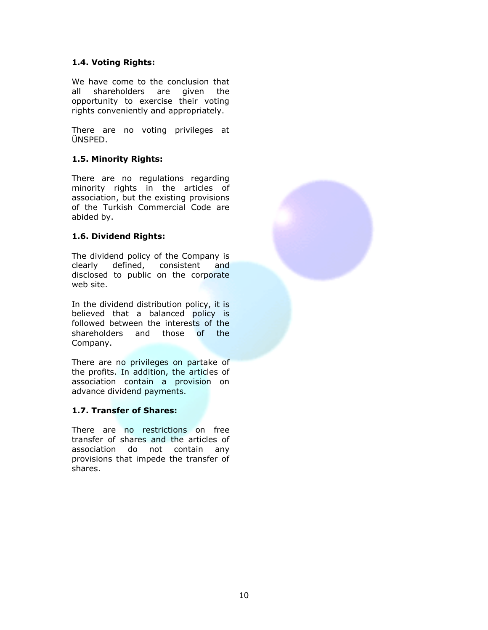#### **1.4. Voting Rights:**

We have come to the conclusion that all shareholders are given the opportunity to exercise their voting rights conveniently and appropriately.

There are no voting privileges at ÜNSPED.

#### **1.5. Minority Rights:**

There are no regulations regarding minority rights in the articles of association, but the existing provisions of the Turkish Commercial Code are abided by.

#### **1.6. Dividend Rights:**

The dividend policy of the Company is clearly defined, consistent and disclosed to public on the corporate web site.

In the dividend distribution policy, it is believed that a balanced policy is followed between the interests of the shareholders and those of the Company.

There are no privileges on partake of the profits. In addition, the articles of association contain a provision on advance dividend payments.

#### **1.7. Transfer of Shares:**

There are no restrictions on free transfer of shares and the articles of association do not contain any provisions that impede the transfer of shares.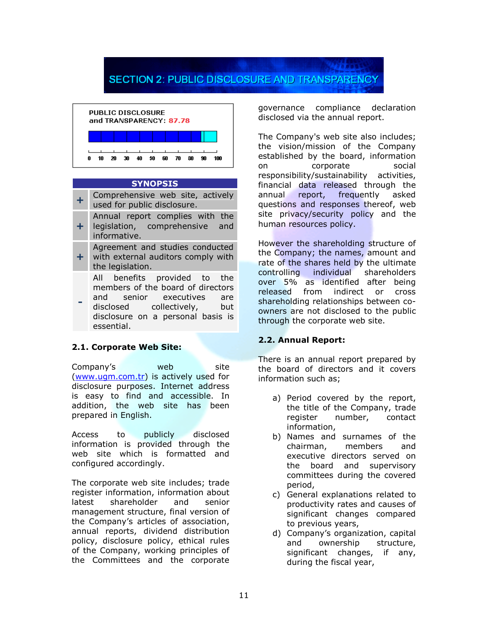## **SECTION 2: PUBLIC DISCLOSURE AND TRANSPARENCY**



#### **SYNOPSIS**

- **+** Comprehensive web site, actively used for public disclosure.
- **+** Annual report complies with the legislation, comprehensive and informative.
- **+** Agreement and studies conducted with external auditors comply with the legislation.
	- All benefits provided to the members of the board of directors and senior executives are disclosed collectively, but disclosure on a personal basis is essential.

#### **2.1. Corporate Web Site:**

**-**

Company"s web site [\(www.ugm.com.tr\)](http://www.ugm.com.tr/) is actively used for disclosure purposes. Internet address is easy to find and accessible. In addition, the web site has been prepared in English.

Access to publicly disclosed information is provided through the web site which is formatted and configured accordingly.

The corporate web site includes; trade register information, information about latest shareholder and senior management structure, final version of the Company"s articles of association, annual reports, dividend distribution policy, disclosure policy, ethical rules of the Company, working principles of the Committees and the corporate

governance compliance declaration disclosed via the annual report.

The Company's web site also includes; the vision/mission of the Company established by the board, information on corporate social responsibility/sustainability activities, financial data released through the annual report, frequently asked questions and responses thereof, web site privacy/security policy and the human resources policy.

However the shareholding structure of the Company; the names, amount and rate of the shares held by the ultimate controlling individual shareholders over 5% as identified after being released from indirect or cross shareholding relationships between coowners are not disclosed to the public through the corporate web site.

#### **2.2. Annual Report:**

There is an annual report prepared by the board of directors and it covers information such as;

- a) Period covered by the report, the title of the Company, trade register number, contact information,
- b) Names and surnames of the chairman, members and executive directors served on the board and supervisory committees during the covered period,
- c) General explanations related to productivity rates and causes of significant changes compared to previous years,
- d) Company"s organization, capital and ownership structure, significant changes, if any, during the fiscal year,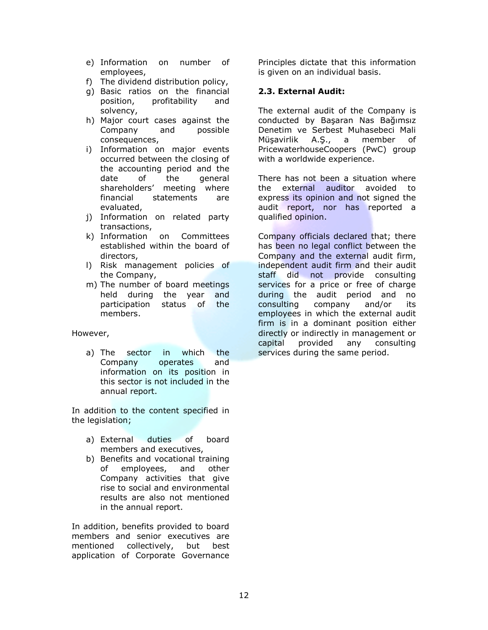- e) Information on number of employees,
- f) The dividend distribution policy,
- g) Basic ratios on the financial position, profitability and solvency,
- h) Major court cases against the Company and possible consequences,
- i) Information on major events occurred between the closing of the accounting period and the date of the general shareholders" meeting where financial statements are evaluated,
- j) Information on related party transactions,
- k) Information on Committees established within the board of directors,
- l) Risk management policies of the Company,
- m) The number of board meetings held during the year and participation status of the members.

However,

a) The sector in which the Company operates and information on its position in this sector is not included in the annual report.

In addition to the content specified in the legislation;

- a) External duties of board members and executives,
- b) Benefits and vocational training of employees, and other Company activities that give rise to social and environmental results are also not mentioned in the annual report.

In addition, benefits provided to board members and senior executives are mentioned collectively, but best application of Corporate Governance

Principles dictate that this information is given on an individual basis.

#### **2.3. External Audit:**

The external audit of the Company is conducted by Başaran Nas Bağımsız Denetim ve Serbest Muhasebeci Mali Müşavirlik A.Ş., a member of PricewaterhouseCoopers (PwC) group with a worldwide experience.

There has not been a situation where the external auditor avoided to express its opinion and not signed the audit report, nor has reported a qualified opinion.

Company officials declared that; there has been no legal conflict between the Company and the external audit firm, independent audit firm and their audit staff did not provide consulting services for a price or free of charge during the audit period and no consulting company and/or its employees in which the external audit firm is in a dominant position either directly or indirectly in management or capital provided any consulting services during the same period.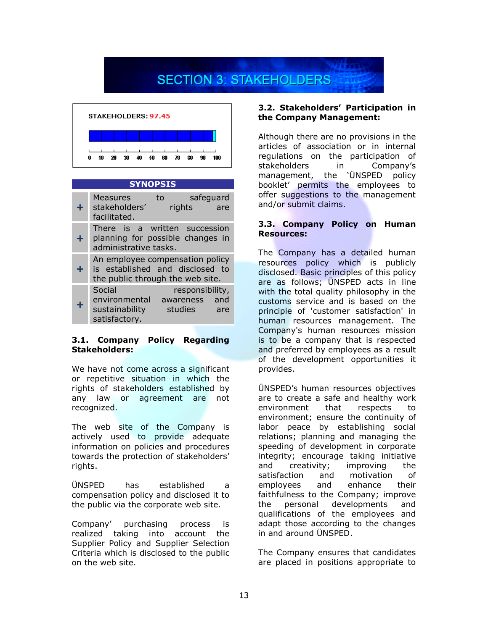# **SECTION 3: STAKEHOLDERS**



#### **SYNOPSIS**

| ÷  | Measures<br>stakeholders'<br>facilitated.                                                              | to<br>rights               | safeguard<br>are |
|----|--------------------------------------------------------------------------------------------------------|----------------------------|------------------|
| ÷. | There is a written succession<br>planning for possible changes in<br>administrative tasks.             |                            |                  |
| ÷. | An employee compensation policy<br>is established and disclosed to<br>the public through the web site. |                            |                  |
| ÷  | Social<br>environmental awareness and<br>sustainability<br>satisfactory.                               | responsibility,<br>studies | are              |

#### **3.1. Company Policy Regarding Stakeholders:**

We have not come across a significant or repetitive situation in which the rights of stakeholders established by any law or agreement are not recognized.

The web site of the Company is actively used to provide adequate information on policies and procedures towards the protection of stakeholders" rights.

ÜNSPED has established a compensation policy and disclosed it to the public via the corporate web site.

Company" purchasing process is realized taking into account the Supplier Policy and Supplier Selection Criteria which is disclosed to the public on the web site.

#### **3.2. Stakeholders' Participation in the Company Management:**

Although there are no provisions in the articles of association or in internal regulations on the participation of stakeholders in Company"s management, the "ÜNSPED policy booklet" permits the employees to offer suggestions to the management and/or submit claims.

#### **3.3. Company Policy on Human Resources:**

The Company has a detailed human resources policy which is publicly disclosed. Basic principles of this policy are as follows; UNSPED acts in line with the total quality philosophy in the customs service and is based on the principle of 'customer satisfaction' in human resources management. The Company's human resources mission is to be a company that is respected and preferred by employees as a result of the development opportunities it provides.

ÜNSPED"s human resources objectives are to create a safe and healthy work environment that respects to environment; ensure the continuity of labor peace by establishing social relations; planning and managing the speeding of development in corporate integrity; encourage taking initiative and creativity; improving the satisfaction and motivation of employees and enhance their faithfulness to the Company; improve the personal developments and qualifications of the employees and adapt those according to the changes in and around ÜNSPED.

The Company ensures that candidates are placed in positions appropriate to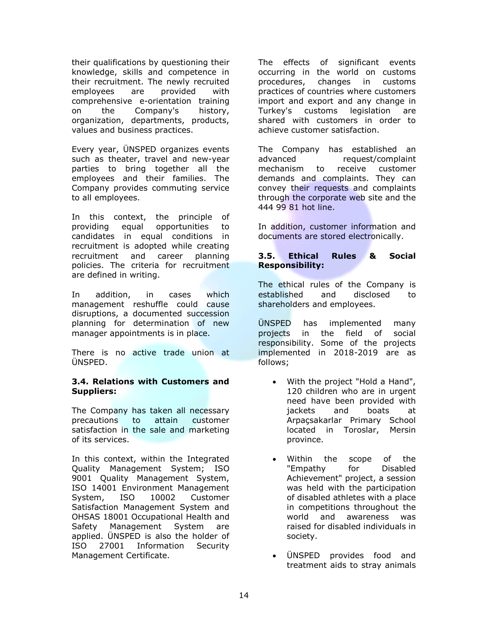their qualifications by questioning their knowledge, skills and competence in their recruitment. The newly recruited employees are provided with comprehensive e-orientation training on the Company's history, organization, departments, products, values and business practices.

Every year, ÜNSPED organizes events such as theater, travel and new-year parties to bring together all the employees and their families. The Company provides commuting service to all employees.

In this context, the principle of providing equal opportunities to candidates in equal conditions in recruitment is adopted while creating recruitment and career planning policies. The criteria for recruitment are defined in writing.

In addition, in cases which management reshuffle could cause disruptions, a documented succession planning for determination of new manager appointments is in place.

There is no active trade union at ÜNSPED.

#### **3.4. Relations with Customers and Suppliers:**

The Company has taken all necessary precautions to attain customer satisfaction in the sale and marketing of its services.

In this context, within the Integrated Quality Management System; ISO 9001 Quality Management System, ISO 14001 Environment Management System, ISO 10002 Customer Satisfaction Management System and OHSAS 18001 Occupational Health and Safety Management System are applied. ÜNSPED is also the holder of ISO 27001 Information Security Management Certificate.

The effects of significant events occurring in the world on customs procedures, changes in customs practices of countries where customers import and export and any change in Turkey's customs legislation are shared with customers in order to achieve customer satisfaction.

The Company has established an advanced request/complaint mechanism to receive customer demands and complaints. They can convey their requests and complaints through the corporate web site and the 444 99 81 hot line.

In addition, customer information and documents are stored electronically.

#### **3.5. Ethical Rules & Social Responsibility:**

The ethical rules of the Company is established and disclosed to shareholders and employees.

ÜNSPED has implemented many projects in the field of social responsibility. Some of the projects implemented in 2018-2019 are as follows;

- With the project "Hold a Hand", 120 children who are in urgent need have been provided with jackets and boats at Arpaçsakarlar Primary School located in Toroslar, Mersin province.
- Within the scope of the "Empathy for Disabled Achievement" project, a session was held with the participation of disabled athletes with a place in competitions throughout the world and awareness was raised for disabled individuals in society.
- ÜNSPED provides food and treatment aids to stray animals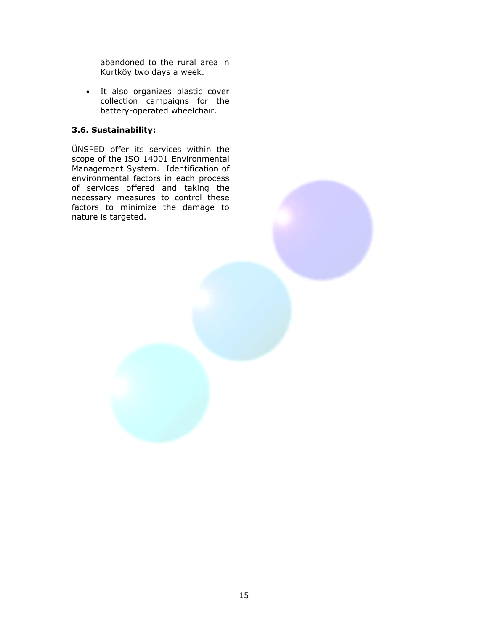abandoned to the rural area in Kurtköy two days a week.

• It also organizes plastic cover collection campaigns for the battery-operated wheelchair.

#### **3.6. Sustainability:**

ÜNSPED offer its services within the scope of the ISO 14001 Environmental Management System. Identification of environmental factors in each process of services offered and taking the necessary measures to control these factors to minimize the damage to nature is targeted.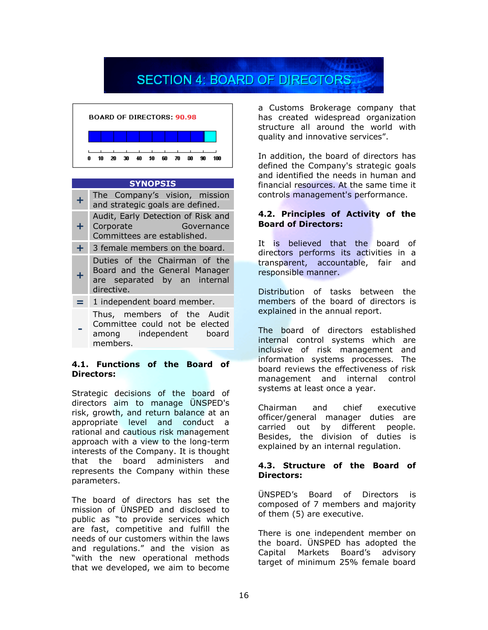## **SECTION 4: BOARD OF DIRECTORS**



#### **SYNOPSIS**

- **+** The Company"s vision, mission and strategic goals are defined. **+** Audit, Early Detection of Risk and Corporate Governance
- Committees are established. **+** 3 female members on the board.
- **+** Duties of the Chairman of the Board and the General Manager are separated by an internal directive.
- **=** 1 independent board member.
- **-** Thus, members of the Audit Committee could not be elected among independent board members.

#### **4.1. Functions of the Board of Directors:**

Strategic decisions of the board of directors aim to manage ÜNSPED's risk, growth, and return balance at an appropriate level and conduct a rational and cautious risk management approach with a view to the long-term interests of the Company. It is thought that the board administers and represents the Company within these parameters.

The board of directors has set the mission of ÜNSPED and disclosed to public as "to provide services which are fast, competitive and fulfill the needs of our customers within the laws and regulations." and the vision as "with the new operational methods that we developed, we aim to become a Customs Brokerage company that has created widespread organization structure all around the world with quality and innovative services".

In addition, the board of directors has defined the Company's strategic goals and identified the needs in human and financial resources. At the same time it controls management's performance.

#### **4.2. Principles of Activity of the Board of Directors:**

It is believed that the board of directors performs its activities in a transparent, accountable, fair and responsible manner.

Distribution of tasks between the members of the board of directors is explained in the annual report.

The board of directors established internal control systems which are inclusive of risk management and information systems processes. The board reviews the effectiveness of risk management and internal control systems at least once a year.

Chairman and chief executive officer/general manager duties are carried out by different people. Besides, the division of duties is explained by an internal regulation.

#### **4.3. Structure of the Board of Directors:**

ÜNSPED"s Board of Directors is composed of 7 members and majority of them (5) are executive.

There is one independent member on the board. ÜNSPED has adopted the Capital Markets Board"s advisory target of minimum 25% female board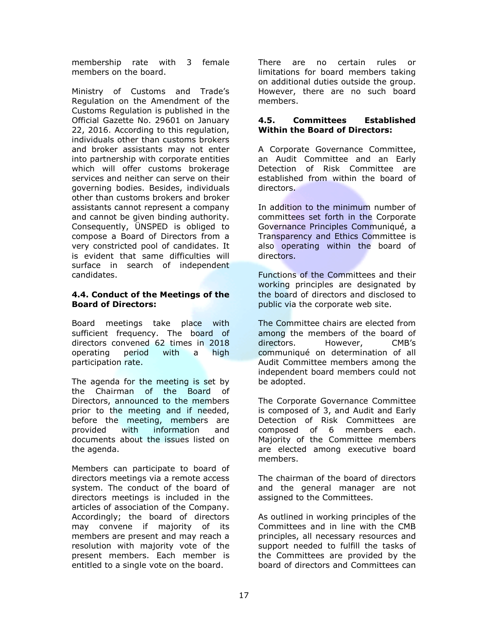membership rate with 3 female members on the board.

Ministry of Customs and Trade"s Regulation on the Amendment of the Customs Regulation is published in the Official Gazette No. 29601 on January 22, 2016. According to this regulation, individuals other than customs brokers and broker assistants may not enter into partnership with corporate entities which will offer customs brokerage services and neither can serve on their governing bodies. Besides, individuals other than customs brokers and broker assistants cannot represent a company and cannot be given binding authority. Consequently, ÜNSPED is obliged to compose a Board of Directors from a very constricted pool of candidates. It is evident that same difficulties will surface in search of independent candidates.

#### **4.4. Conduct of the Meetings of the Board of Directors:**

Board meetings take place with sufficient frequency. The board of directors convened 62 times in 2018 operating period with a high participation rate.

The agenda for the meeting is set by the Chairman of the Board of Directors, announced to the members prior to the meeting and if needed, before the meeting, members are provided with information and documents about the issues listed on the agenda.

Members can participate to board of directors meetings via a remote access system. The conduct of the board of directors meetings is included in the articles of association of the Company. Accordingly; the board of directors may convene if majority of its members are present and may reach a resolution with majority vote of the present members. Each member is entitled to a single vote on the board.

There are no certain rules or limitations for board members taking on additional duties outside the group. However, there are no such board members.

#### **4.5. Committees Established Within the Board of Directors:**

A Corporate Governance Committee, an Audit Committee and an Early Detection of Risk Committee are established from within the board of directors.

In addition to the minimum number of committees set forth in the Corporate Governance Principles Communiqué, a Transparency and Ethics Committee is also operating within the board of directors.

Functions of the Committees and their working principles are designated by the board of directors and disclosed to public via the corporate web site.

The Committee chairs are elected from among the members of the board of directors. However, CMB"s communiqué on determination of all Audit Committee members among the independent board members could not be adopted.

The Corporate Governance Committee is composed of 3, and Audit and Early Detection of Risk Committees are composed of 6 members each. Majority of the Committee members are elected among executive board members.

The chairman of the board of directors and the general manager are not assigned to the Committees.

As outlined in working principles of the Committees and in line with the CMB principles, all necessary resources and support needed to fulfill the tasks of the Committees are provided by the board of directors and Committees can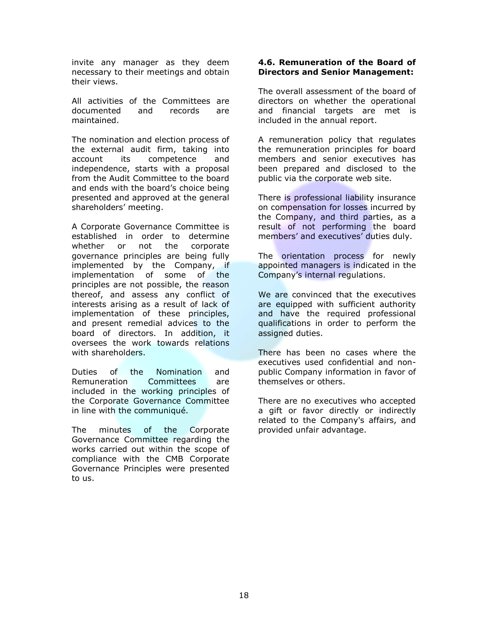invite any manager as they deem necessary to their meetings and obtain their views.

All activities of the Committees are documented and records are maintained.

The nomination and election process of the external audit firm, taking into account its competence and independence, starts with a proposal from the Audit Committee to the board and ends with the board"s choice being presented and approved at the general shareholders" meeting.

A Corporate Governance Committee is established in order to determine whether or not the corporate governance principles are being fully implemented by the Company, if implementation of some of the principles are not possible, the reason thereof, and assess any conflict of interests arising as a result of lack of implementation of these principles, and present remedial advices to the board of directors. In addition, it oversees the work towards relations with shareholders.

Duties of the Nomination and Remuneration Committees are included in the working principles of the Corporate Governance Committee in line with the communiqué.

The minutes of the Corporate Governance Committee regarding the works carried out within the scope of compliance with the CMB Corporate Governance Principles were presented to us.

#### **4.6. Remuneration of the Board of Directors and Senior Management:**

The overall assessment of the board of directors on whether the operational and financial targets are met is included in the annual report.

A remuneration policy that regulates the remuneration principles for board members and senior executives has been prepared and disclosed to the public via the corporate web site.

There is professional liability insurance on compensation for losses incurred by the Company, and third parties, as a result of not performing the board members' and executives' duties duly.

The orientation process for newly appointed managers is indicated in the Company"s internal regulations.

We are convinced that the executives are equipped with sufficient authority and have the required professional qualifications in order to perform the assigned duties.

There has been no cases where the executives used confidential and nonpublic Company information in favor of themselves or others.

There are no executives who accepted a gift or favor directly or indirectly related to the Company's affairs, and provided unfair advantage.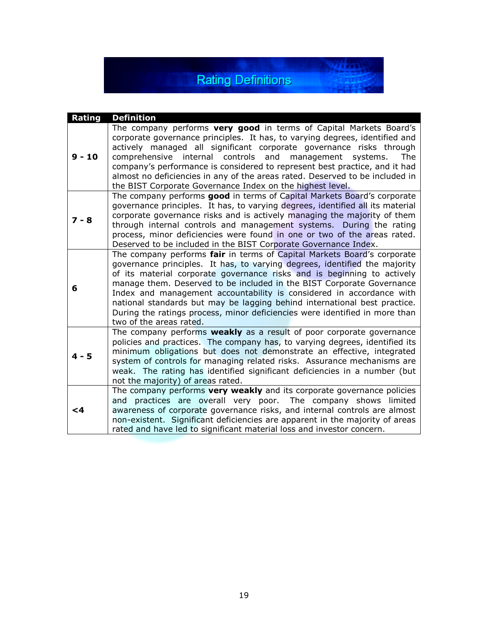## **Rating Definitions**

 $-36.4844$ 

| Rating   | <b>Definition</b>                                                                                                                                                                                                                                                                                                                                                                                                                                                                                                                                                        |
|----------|--------------------------------------------------------------------------------------------------------------------------------------------------------------------------------------------------------------------------------------------------------------------------------------------------------------------------------------------------------------------------------------------------------------------------------------------------------------------------------------------------------------------------------------------------------------------------|
| $9 - 10$ | The company performs very good in terms of Capital Markets Board's<br>corporate governance principles. It has, to varying degrees, identified and<br>actively managed all significant corporate governance risks through<br>comprehensive internal controls<br>and<br>management systems.<br>The<br>company's performance is considered to represent best practice, and it had<br>almost no deficiencies in any of the areas rated. Deserved to be included in<br>the BIST Corporate Governance Index on the highest level.                                              |
| $7 - 8$  | The company performs good in terms of Capital Markets Board's corporate<br>governance principles. It has, to varying degrees, identified all its material<br>corporate governance risks and is actively managing the majority of them<br>through internal controls and management systems. During the rating<br>process, minor deficiencies were found in one or two of the areas rated.<br>Deserved to be included in the BIST Corporate Governance Index.                                                                                                              |
| 6        | The company performs fair in terms of Capital Markets Board's corporate<br>governance principles. It has, to varying degrees, identified the majority<br>of its material corporate governance risks and is beginning to actively<br>manage them. Deserved to be included in the BIST Corporate Governance<br>Index and management accountability is considered in accordance with<br>national standards but may be lagging behind international best practice.<br>During the ratings process, minor deficiencies were identified in more than<br>two of the areas rated. |
| $4 - 5$  | The company performs weakly as a result of poor corporate governance<br>policies and practices. The company has, to varying degrees, identified its<br>minimum obligations but does not demonstrate an effective, integrated<br>system of controls for managing related risks. Assurance mechanisms are<br>weak. The rating has identified significant deficiencies in a number (but<br>not the majority) of areas rated.                                                                                                                                                |
| <4       | The company performs very weakly and its corporate governance policies<br>and practices are overall very poor. The company shows limited<br>awareness of corporate governance risks, and internal controls are almost<br>non-existent. Significant deficiencies are apparent in the majority of areas<br>rated and have led to significant material loss and investor concern.                                                                                                                                                                                           |